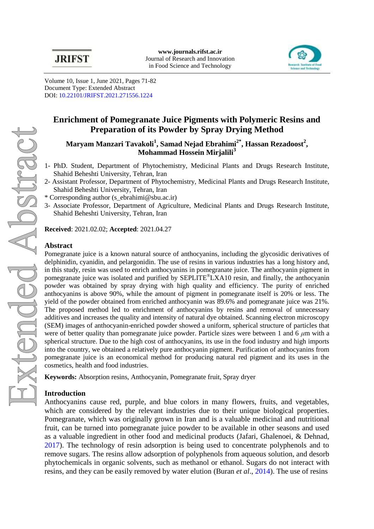

Volume 10, Issue 1, June 2021, Pages 71-82 Document Type: Extended Abstract DOI: [10.22101/JRIFST.2021.271556.1224](https://dx.doi.org/10.22101/jrifst.2021.271556.1224)

# **Enrichment of Pomegranate Juice Pigments with Polymeric Resins and Preparation of its Powder by Spray Drying Method**

# **Maryam Manzari Tavakoli<sup>1</sup> , Samad Nejad Ebrahimi2\*, Hassan Rezadoost<sup>2</sup> , Mohammad Hossein Mirjalili<sup>3</sup>**

- 1- PhD. Student, Department of Phytochemistry, Medicinal Plants and Drugs Research Institute, Shahid Beheshti University, Tehran, Iran
- 2- Assistant Professor, Department of Phytochemistry, Medicinal Plants and Drugs Research Institute, Shahid Beheshti University, Tehran, Iran
- \* Corresponding author (s\_ebrahimi@sbu.ac.ir)
- 3- Associate Professor, Department of Agriculture, Medicinal Plants and Drugs Research Institute, Shahid Beheshti University, Tehran, Iran

**Received**: 2021.02.02; **Accepted**: 2021.04.27

## **Abstract**

Pomegranate juice is a known natural source of anthocyanins, including the glycosidic derivatives of delphinidin, cyanidin, and pelargonidin. The use of resins in various industries has a long history and, in this study, resin was used to enrich anthocyanins in pomegranate juice. The anthocyanin pigment in pomegranate juice was isolated and purified by SEPLITE®LXA10 resin, and finally, the anthocyanin powder was obtained by spray drying with high quality and efficiency. The purity of enriched anthocyanins is above 90%, while the amount of pigment in pomegranate itself is 20% or less. The yield of the powder obtained from enriched anthocyanin was 89.6% and pomegranate juice was 21%. The proposed method led to enrichment of anthocyanins by resins and removal of unnecessary additives and increases the quality and intensity of natural dye obtained. Scanning electron microscopy (SEM) images of anthocyanin-enriched powder showed a uniform, spherical structure of particles that were of better quality than pomegranate juice powder. Particle sizes were between 1 and 6 *μ*m with a spherical structure. Due to the high cost of anthocyanins, its use in the food industry and high imports into the country, we obtained a relatively pure anthocyanin pigment. Purification of anthocyanins from pomegranate juice is an economical method for producing natural red pigment and its uses in the cosmetics, health and food industries.

**Keywords:** Absorption resins, Anthocyanin, Pomegranate fruit, Spray dryer

### **Introduction**

Anthocyanins cause red, purple, and blue colors in many flowers, fruits, and vegetables, which are considered by the relevant industries due to their unique biological properties. Pomegranate, which was originally grown in Iran and is a valuable medicinal and nutritional fruit, can be turned into pomegranate juice powder to be available in other seasons and used as a valuable ingredient in other food and medicinal products [\(Jafari, Ghalenoei, & Dehnad,](#page-2-0) [2017\)](#page-2-0). The technology of resin adsorption is being used to concentrate polyphenols and to remove sugars. The resins allow adsorption of polyphenols from aqueous solution, and desorb phytochemicals in organic solvents, such as methanol or ethanol. Sugars do not interact with resins, and they can be easily removed by water elution (Buran *et al*[., 2014\)](#page-2-1). The use of resins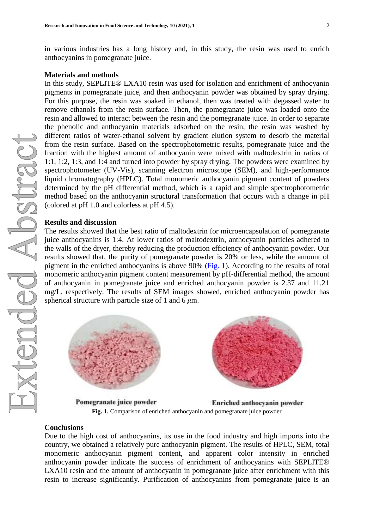in various industries has a long history and, in this study, the resin was used to enrich anthocyanins in pomegranate juice.

#### **Materials and methods**

In this study, SEPLITE® LXA10 resin was used for isolation and enrichment of anthocyanin pigments in pomegranate juice, and then anthocyanin powder was obtained by spray drying. For this purpose, the resin was soaked in ethanol, then was treated with degassed water to remove ethanols from the resin surface. Then, the pomegranate juice was loaded onto the resin and allowed to interact between the resin and the pomegranate juice. In order to separate the phenolic and anthocyanin materials adsorbed on the resin, the resin was washed by different ratios of water-ethanol solvent by gradient elution system to desorb the material from the resin surface. Based on the spectrophotometric results, pomegranate juice and the fraction with the highest amount of anthocyanin were mixed with maltodextrin in ratios of 1:1, 1:2, 1:3, and 1:4 and turned into powder by spray drying. The powders were examined by spectrophotometer (UV-Vis), scanning electron microscope (SEM), and high-performance liquid chromatography (HPLC). Total monomeric anthocyanin pigment content of powders determined by the pH differential method, which is a rapid and simple spectrophotometric method based on the anthocyanin structural transformation that occurs with a change in pH (colored at pH 1.0 and colorless at pH 4.5).

#### **Results and discussion**

The results showed that the best ratio of maltodextrin for microencapsulation of pomegranate juice anthocyanins is 1:4. At lower ratios of maltodextrin, anthocyanin particles adhered to the walls of the dryer, thereby reducing the production efficiency of anthocyanin powder. Our results showed that, the purity of pomegranate powder is 20% or less, while the amount of pigment in the enriched anthocyanins is above 90% [\(Fig.](#page-1-0) 1). According to the results of total monomeric anthocyanin pigment content measurement by pH-differential method, the amount of anthocyanin in pomegranate juice and enriched anthocyanin powder is 2.37 and 11.21 mg/L, respectively. The results of SEM images showed, enriched anthocyanin powder has spherical structure with particle size of 1 and 6 *μ*m.

<span id="page-1-0"></span>



Pomegranate juice powder Enriched anthocyanin powder **Fig. 1.** Comparison of enriched anthocyanin and pomegranate juice powder

#### **Conclusions**

Due to the high cost of anthocyanins, its use in the food industry and high imports into the country, we obtained a relatively pure anthocyanin pigment. The results of HPLC, SEM, total monomeric anthocyanin pigment content, and apparent color intensity in enriched anthocyanin powder indicate the success of enrichment of anthocyanins with SEPLITE® LXA10 resin and the amount of anthocyanin in pomegranate juice after enrichment with this resin to increase significantly. Purification of anthocyanins from pomegranate juice is an